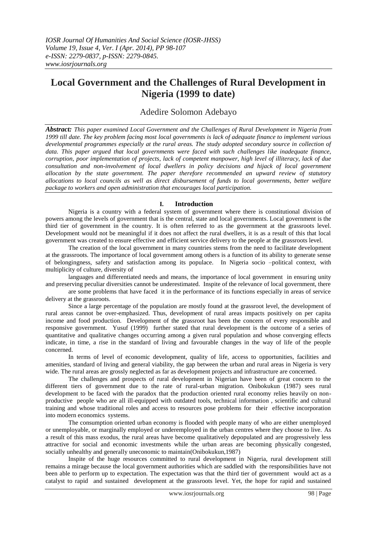# **Local Government and the Challenges of Rural Development in Nigeria (1999 to date)**

# Adedire Solomon Adebayo

*Abstract: This paper examined Local Government and the Challenges of Rural Development in Nigeria from 1999 till date. The key problem facing most local governments is lack of adequate finance to implement various developmental programmes especially at the rural areas. The study adopted secondary source in collection of*  data. This paper argued that local governments were faced with such challenges like inadequate finance, *corruption, poor implementation of projects, lack of competent manpower, high level of illiteracy, lack of due consultation and non-involvement of local dwellers in policy decisions and hijack of local government allocation by the state government. The paper therefore recommended an upward review of statutory allocations to local councils as well as direct disbursement of funds to local governments, better welfare package to workers and open administration that encourages local participation.*

### **I. Introduction**

Nigeria is a country with a federal system of government where there is constitutional division of powers among the levels of government that is the central, state and local governments. Local government is the third tier of government in the country. It is often referred to as the government at the grassroots level. Development would not be meaningful if it does not affect the rural dwellers, it is as a result of this that local government was created to ensure effective and efficient service delivery to the people at the grassroots level.

The creation of the local government in many countries stems from the need to facilitate development at the grassroots. The importance of local government among others is a function of its ability to generate sense of belongingness, safety and satisfaction among its populace. In Nigeria socio –political context, with multiplicity of culture, diversity of

languages and differentiated needs and means, the importance of local government in ensuring unity and preserving peculiar diversities cannot be underestimated. Inspite of the relevance of local government, there

are some problems that have faced it in the performance of its functions especially in areas of service delivery at the grassroots.

Since a large percentage of the population are mostly found at the grassroot level, the development of rural areas cannot be over-emphasized. Thus, development of rural areas impacts positively on per capita income and food production. Development of the grassroot has been the concern of every responsible and responsive government. Yusuf (1999) further stated that rural development is the outcome of a series of quantitative and qualitative changes occurring among a given rural population and whose converging effects indicate, in time, a rise in the standard of living and favourable changes in the way of life of the people concerned.

In terms of level of economic development, quality of life, access to opportunities, facilities and amenities, standard of living and general viability, the gap between the urban and rural areas in Nigeria is very wide. The rural areas are grossly neglected as far as development projects and infrastructure are concerned.

The challenges and prospects of rural development in Nigerian have been of great concern to the different tiers of government due to the rate of rural-urban migration. Onibokukun (1987) sees rural development to be faced with the paradox that the production oriented rural economy relies heavily on nonproductive people who are all ill-equipped with outdated tools, technical information , scientific and cultural training and whose traditional roles and access to resources pose problems for their effective incorporation into modern economics systems.

The consumption oriented urban economy is flooded with people many of who are either unemployed or unemployable, or marginally employed or underemployed in the urban centres where they choose to live. As a result of this mass exodus, the rural areas have become qualitatively depopulated and are progressively less attractive for social and economic investments while the urban areas are becoming physically congested, socially unhealthy and generally uneconomic to maintain(Onibokukun,1987)

Inspite of the huge resources committed to rural development in Nigeria, rural development still remains a mirage because the local government authorities which are saddled with the responsibilities have not been able to perform up to expectation. The expectation was that the third tier of government would act as a catalyst to rapid and sustained development at the grassroots level. Yet, the hope for rapid and sustained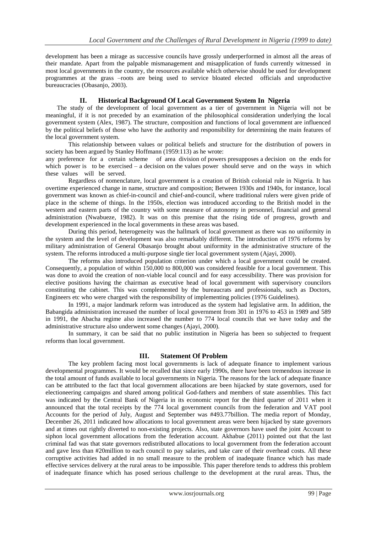development has been a mirage as successive councils have grossly underperformed in almost all the areas of their mandate. Apart from the palpable mismanagement and misapplication of funds currently witnessed in most local governments in the country, the resources available which otherwise should be used for development programmes at the grass –roots are being used to service bloated elected officials and unproductive bureaucracies (Obasanjo, 2003).

### **II. Historical Background Of Local Government System In Nigeria**

The study of the development of local government as a tier of government in Nigeria will not be meaningful, if it is not preceded by an examination of the philosophical consideration underlying the local government system (Alex, 1987). The structure, composition and functions of local government are influenced by the political beliefs of those who have the authority and responsibility for determining the main features of the local government system.

This relationship between values or political beliefs and structure for the distribution of powers in society has been argued by Stanley Hoffmann (1959:113) as he wrote:

any preference for a certain scheme of area division of powers presupposes a decision on the ends for which power is to be exercised – a decision on the values power should serve and on the ways in which these values will be served.

Regardless of nomenclature, local government is a creation of British colonial rule in Nigeria. It has overtime experienced change in name, structure and composition; Between 1930s and 1940s, for instance, local government was known as chief-in-council and chief-and-council, where traditional rulers were given pride of place in the scheme of things. In the 1950s, election was introduced according to the British model in the western and eastern parts of the country with some measure of autonomy in personnel, financial and general administration (Nwabueze, 1982). It was on this premise that the rising tide of progress, growth and development experienced in the local governments in these areas was based.

During this period, heterogeneity was the hallmark of local government as there was no uniformity in the system and the level of development was also remarkably different. The introduction of 1976 reforms by military administration of General Obasanjo brought about uniformity in the administrative structure of the system. The reforms introduced a multi-purpose single tier local government system (Ajayi, 2000).

The reforms also introduced population criterion under which a local government could be created. Consequently, a population of within 150,000 to 800,000 was considered feasible for a local government. This was done to avoid the creation of non-viable local council and for easy accessibility. There was provision for elective positions having the chairman as executive head of local government with supervisory councilors constituting the cabinet. This was complemented by the bureaucrats and professionals, such as Doctors, Engineers etc who were charged with the responsibility of implementing policies (1976 Guidelines).

In 1991, a major landmark reform was introduced as the system had legislative arm. In addition, the Babangida administration increased the number of local government from 301 in 1976 to 453 in 1989 and 589 in 1991, the Abacha regime also increased the number to 774 local councils that we have today and the administrative structure also underwent some changes (Ajayi, 2000).

In summary, it can be said that no public institution in Nigeria has been so subjected to frequent reforms than local government.

# **III. Statement Of Problem**

The key problem facing most local governments is lack of adequate finance to implement various developmental programmes. It would be recalled that since early 1990s, there have been tremendous increase in the total amount of funds available to local governments in Nigeria. The reasons for the lack of adequate finance can be attributed to the fact that local government allocations are been hijacked by state governors, used for electioneering campaigns and shared among political God-fathers and members of state assemblies. This fact was indicated by the Central Bank of Nigeria in its economic report for the third quarter of 2011 when it announced that the total receipts by the 774 local government councils from the federation and VAT pool Accounts for the period of July, August and September was #493.77billion. The media report of Monday, December 26, 2011 indicated how allocations to local government areas were been hijacked by state governors and at times out rightly diverted to non-existing projects. Also, state governors have used the joint Account to siphon local government allocations from the federation account. Akhabue (2011) pointed out that the last criminal fad was that state governors redistributed allocations to local government from the federation account and gave less than #20million to each council to pay salaries, and take care of their overhead costs. All these corruptive activities had added in no small measure to the problem of inadequate finance which has made effective services delivery at the rural areas to be impossible. This paper therefore tends to address this problem of inadequate finance which has posed serious challenge to the development at the rural areas. Thus, the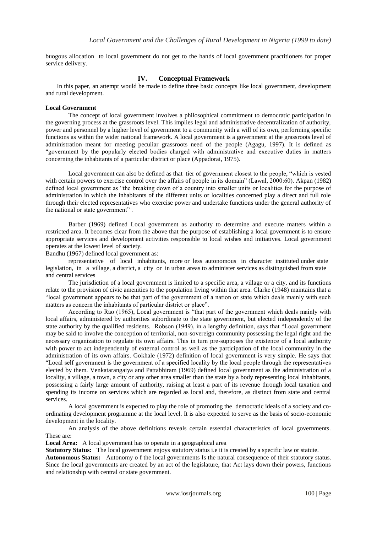buogous allocation to local government do not get to the hands of local government practitioners for proper service delivery.

#### **IV. Conceptual Framework**

In this paper, an attempt would be made to define three basic concepts like local government, development and rural development.

#### **Local Government**

The concept of local government involves a philosophical commitment to democratic participation in the governing process at the grassroots level. This implies legal and administrative decentralization of authority, power and personnel by a higher level of government to a community with a will of its own, performing specific functions as within the wider national framework. A local government is a government at the grassroots level of administration meant for meeting peculiar grassroots need of the people (Agagu, 1997). It is defined as "government by the popularly elected bodies charged with administrative and executive duties in matters concerning the inhabitants of a particular district or place (Appadorai, 1975).

Local government can also be defined as that tier of government closest to the people, "which is vested with certain powers to exercise control over the affairs of people in its domain" (Lawal, 2000:60). Akpan (1982) defined local government as "the breaking down of a country into smaller units or localities for the purpose of administration in which the inhabitants of the different units or localities concerned play a direct and full role through their elected representatives who exercise power and undertake functions under the general authority of the national or state government" .

Barber (1969) defined Local government as authority to determine and execute matters within a restricted area. It becomes clear from the above that the purpose of establishing a local government is to ensure appropriate services and development activities responsible to local wishes and initiatives. Local government operates at the lowest level of society.

Bandhu (1967) defined local government as:

representative of local inhabitants, more or less autonomous in character instituted under state legislation, in a village, a district, a city or in urban areas to administer services as distinguished from state and central services

The jurisdiction of a local government is limited to a specific area, a village or a city, and its functions relate to the provision of civic amenities to the population living within that area. Clarke (1948) maintains that a "local government appears to be that part of the government of a nation or state which deals mainly with such matters as concern the inhabitants of particular district or place".

According to Rao (1965), Local government is "that part of the government which deals mainly with local affairs, administered by authorities subordinate to the state government, but elected independently of the state authority by the qualified residents. Robson (1949), in a lengthy definition, says that "Local government may be said to involve the conception of territorial, non-sovereign community possessing the legal right and the necessary organization to regulate its own affairs. This in turn pre-supposes the existence of a local authority with power to act independently of external control as well as the participation of the local community in the administration of its own affairs. Gokhale (1972) definition of local government is very simple. He says that "Local self government is the government of a specified locality by the local people through the representatives elected by them. Venkatarangaiya and Pattabhiram (1969) defined local government as the administration of a locality, a village, a town, a city or any other area smaller than the state by a body representing local inhabitants, possessing a fairly large amount of authority, raising at least a part of its revenue through local taxation and spending its income on services which are regarded as local and, therefore, as distinct from state and central services.

A local government is expected to play the role of promoting the democratic ideals of a society and coordinating development programme at the local level. It is also expected to serve as the basis of socio-economic development in the locality.

An analysis of the above definitions reveals certain essential characteristics of local governments. These are:

**Local Area:** A local government has to operate in a geographical area

**Statutory Status:** The local government enjoys statutory status i.e it is created by a specific law or statute.

**Autonomous Status:** Autonomy o f the local governments Is the natural consequence of their statutory status. Since the local governments are created by an act of the legislature, that Act lays down their powers, functions and relationship with central or state government.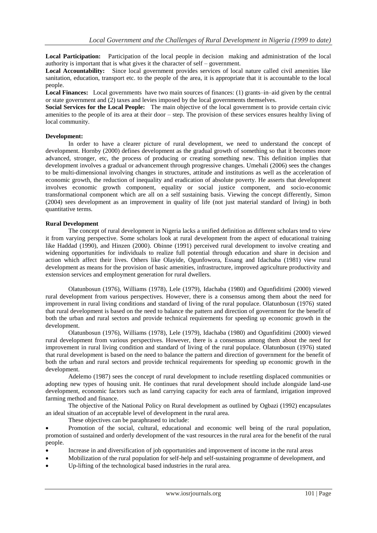**Local Participation:** Participation of the local people in decision making and administration of the local authority is important that is what gives it the character of self – government.

**Local Accountability:** Since local government provides services of local nature called civil amenities like sanitation, education, transport etc. to the people of the area, it is appropriate that it is accountable to the local people.

**Local Finances:** Local governments have two main sources of finances: (1) grants–in–aid given by the central or state government and (2) taxes and levies imposed by the local governments themselves.

**Social Services for the Local People:** The main objective of the local government is to provide certain civic amenities to the people of its area at their door – step. The provision of these services ensures healthy living of local community.

#### **Development:**

In order to have a clearer picture of rural development, we need to understand the concept of development. Hornby (2000) defines development as the gradual growth of something so that it becomes more advanced, stronger, etc, the process of producing or creating something new. This definition implies that development involves a gradual or advancement through progressive changes. Umehali (2006) sees the changes to be multi-dimensional involving changes in structures, attitude and institutions as well as the acceleration of economic growth, the reduction of inequality and eradication of absolute poverty. He asserts that development involves economic growth component, equality or social justice component, and socio-economic transformational component which are all on a self sustaining basis. Viewing the concept differently, Simon (2004) sees development as an improvement in quality of life (not just material standard of living) in both quantitative terms.

#### **Rural Development**

The concept of rural development in Nigeria lacks a unified definition as different scholars tend to view it from varying perspective. Some scholars look at rural development from the aspect of educational training like Haddad (1990), and Hinzen (2000). Obinne (1991) perceived rural development to involve creating and widening opportunities for individuals to realize full potential through education and share in decision and action which affect their lives. Others like Olayide, Ogunfowora, Essang and Idachaba (1981) view rural development as means for the provision of basic amenities, infrastructure, improved agriculture productivity and extension services and employment generation for rural dwellers.

Olatunbosun (1976), Williams (1978), Lele (1979), Idachaba (1980) and Ogunfiditimi (2000) viewed rural development from various perspectives. However, there is a consensus among them about the need for improvement in rural living conditions and standard of living of the rural populace. Olatunbosun (1976) stated that rural development is based on the need to balance the pattern and direction of government for the benefit of both the urban and rural sectors and provide technical requirements for speeding up economic growth in the development.

Olatunbosun (1976), Williams (1978), Lele (1979), Idachaba (1980) and Ogunfiditimi (2000) viewed rural development from various perspectives. However, there is a consensus among them about the need for improvement in rural living condition and standard of living of the rural populace. Olatunbosun (1976) stated that rural development is based on the need to balance the pattern and direction of government for the benefit of both the urban and rural sectors and provide technical requirements for speeding up economic growth in the development.

Adelemo (1987) sees the concept of rural development to include resettling displaced communities or adopting new types of housing unit. He continues that rural development should include alongside land-use development, economic factors such as land carrying capacity for each area of farmland, irrigation improved farming method and finance.

The objective of the National Policy on Rural development as outlined by Ogbazi (1992) encapsulates an ideal situation of an acceptable level of development in the rural area.

These objectives can be paraphrased to include:

 Promotion of the social, cultural, educational and economic well being of the rural population, promotion of sustained and orderly development of the vast resources in the rural area for the benefit of the rural people.

- Increase in and diversification of job opportunities and improvement of income in the rural areas
- Mobilization of the rural population for self-help and self-sustaining programme of development, and
- Up-lifting of the technological based industries in the rural area.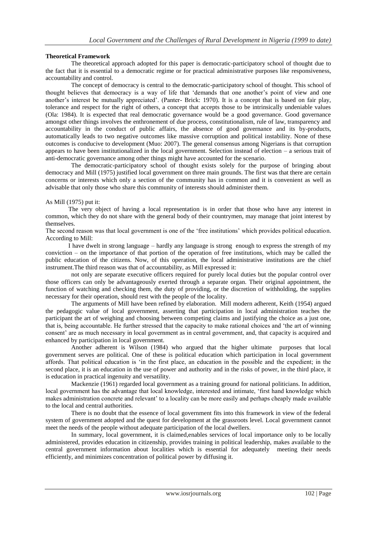#### **Theoretical Framework**

The theoretical approach adopted for this paper is democratic-participatory school of thought due to the fact that it is essential to a democratic regime or for practical administrative purposes like responsiveness, accountability and control.

The concept of democracy is central to the democratic-participatory school of thought. This school of thought believes that democracy is a way of life that "demands that one another"s point of view and one another"s interest be mutually appreciated". (Panter- Brick: 1970). It is a concept that is based on fair play, tolerance and respect for the right of others, a concept that accepts those to be intrinsically undeniable values (Ola: 1984). It is expected that real democratic governance would be a good governance. Good governance amongst other things involves the enthronement of due process, constitutionalism, rule of law, transparency and accountability in the conduct of public affairs, the absence of good governance and its by-products, automatically leads to two negative outcomes like massive corruption and political instability. None of these outcomes is conducive to development (Muo: 2007). The general consensus among Nigerians is that corruption appears to have been institutionalized in the local government. Selection instead of election – a serious trait of anti-democratic governance among other things might have accounted for the scenario.

The democratic-participatory school of thought exists solely for the purpose of bringing about democracy and Mill (1975) justified local government on three main grounds. The first was that there are certain concerns or interests which only a section of the community has in common and it is convenient as well as advisable that only those who share this community of interests should administer them.

#### As Mill (1975) put it:

The very object of having a local representation is in order that those who have any interest in common, which they do not share with the general body of their countrymen, may manage that joint interest by themselves.

The second reason was that local government is one of the "free institutions" which provides political education. According to Mill:

I have dwelt in strong language – hardly any language is strong enough to express the strength of my conviction – on the importance of that portion of the operation of free institutions, which may be called the public education of the citizens. Now, of this operation, the local administrative institutions are the chief instrument.The third reason was that of accountability, as Mill expressed it:

not only are separate executive officers required for purely local duties but the popular control over those officers can only be advantageously exerted through a separate organ. Their original appointment, the function of watching and checking them, the duty of providing, or the discretion of withholding, the supplies necessary for their operation, should rest with the people of the locality.

The arguments of Mill have been refined by elaboration. Mill modern adherent, Keith (1954) argued the pedagogic value of local government, asserting that participation in local administration teaches the participant the art of weighing and choosing between competing claims and justifying the choice as a just one, that is, being accountable. He further stressed that the capacity to make rational choices and "the art of winning consent" are as much necessary in local government as in central government, and, that capacity is acquired and enhanced by participation in local government.

Another adherent is Wilson (1984) who argued that the higher ultimate purposes that local government serves are political. One of these is political education which participation in local government affords. That political education is "in the first place, an education in the possible and the expedient; in the second place, it is an education in the use of power and authority and in the risks of power, in the third place, it is education in practical ingenuity and versatility.

Mackenzie (1961) regarded local government as a training ground for national politicians. In addition, local government has the advantage that local knowledge, interested and intimate, "first hand knowledge which makes administration concrete and relevant" to a locality can be more easily and perhaps cheaply made available to the local and central authorities.

There is no doubt that the essence of local government fits into this framework in view of the federal system of government adopted and the quest for development at the grassroots level. Local government cannot meet the needs of the people without adequate participation of the local dwellers.

In summary, local government, it is claimed,enables services of local importance only to be locally administered, provides education in citizenship, provides training in political leadership, makes available to the central government information about localities which is essential for adequately meeting their needs efficiently, and minimizes concentration of political power by diffusing it.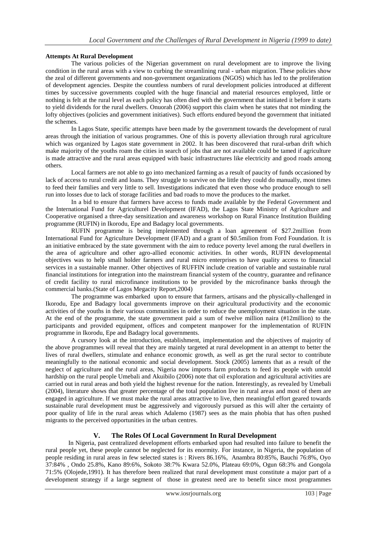#### **Attempts At Rural Development**

The various policies of the Nigerian government on rural development are to improve the living condition in the rural areas with a view to curbing the streamlining rural - urban migration. These policies show the zeal of different governments and non-government organizations (NGOS) which has led to the proliferation of development agencies. Despite the countless numbers of rural development policies introduced at different times by successive governments coupled with the huge financial and material resources employed, little or nothing is felt at the rural level as each policy has often died with the government that initiated it before it starts to yield dividends for the rural dwellers. Onuorah (2006) support this claim when he states that not minding the lofty objectives (policies and government initiatives). Such efforts endured beyond the government that initiated the schemes.

In Lagos State, specific attempts have been made by the government towards the development of rural areas through the initiation of various programmes. One of this is poverty alleviation through rural agriculture which was organized by Lagos state government in 2002. It has been discovered that rural-urban drift which make majority of the youths roam the cities in search of jobs that are not available could be tamed if agriculture is made attractive and the rural areas equipped with basic infrastructures like electricity and good roads among others.

Local farmers are not able to go into mechanized farming as a result of paucity of funds occasioned by lack of access to rural credit and loans. They struggle to survive on the little they could do manually, most times to feed their families and very little to sell. Investigations indicated that even those who produce enough to sell run into losses due to lack of storage facilities and bad roads to move the produces to the market.

In a bid to ensure that farmers have access to funds made available by the Federal Government and the International Fund for Agriculturel Development (IFAD), the Lagos State Ministry of Agriculture and Cooperative organised a three-day sensitization and awareness workshop on Rural Finance Institution Building programme (RUFIN) in Ikorodu, Epe and Badagry local governments.

RUFIN programme is being implemented through a loan agreement of \$27.2million from International Fund for Agriculture Development (IFAD) and a grant of \$0.5milion from Ford Foundation. It is an initiative embraced by the state government with the aim to reduce poverty level among the rural dwellers in the area of agriculture and other agro-allied economic activities. In other words, RUFIN developmental objectives was to help small holder farmers and rural micro enterprises to have quality access to financial services in a sustainable manner. Other objectives of RUFFIN include creation of variable and sustainable rural financial institutions for integration into the mainstream financial system of the country, guarantee and refinance of credit facility to rural microfinance institutions to be provided by the microfinance banks through the commercial banks.(State of Lagos Megacity Report,2004)

The programme was embarked upon to ensure that farmers, artisans and the physically-challenged in Ikorodu, Epe and Badagry local governments improve on their agricultural productivity and the economic activities of the youths in their various communities in order to reduce the unemployment situation in the state. At the end of the programme, the state government paid a sum of twelve million naira (#12million) to the participants and provided equipment, offices and competent manpower for the implementation of RUFIN programme in Ikorodu, Epe and Badagry local governments.

A cursory look at the introduction, establishment, implementation and the objectives of majority of the above programmes will reveal that they are mainly targeted at rural development in an attempt to better the lives of rural dwellers, stimulate and enhance economic growth, as well as get the rural sector to contribute meaningfully to the national economic and social development. Stock (2005) laments that as a result of the neglect of agriculture and the rural areas, Nigeria now imports farm products to feed its people with untold hardship on the rural people Umebali and Akuibilo (2006) note that oil exploration and agricultural activities are carried out in rural areas and both yield the highest revenue for the nation. Interestingly, as revealed by Umebali (2004), literature shows that greater percentage of the total population live in rural areas and most of them are engaged in agriculture. If we must make the rural areas attractive to live, then meaningful effort geared towards sustainable rural development must be aggressively and vigorously pursued as this will alter the certainty of poor quality of life in the rural areas which Adalemo (1987) sees as the main phobia that has often pushed migrants to the perceived opportunities in the urban centres.

# **V. The Roles Of Local Government In Rural Development**

In Nigeria, past centralized development efforts embarked upon had resulted into failure to benefit the rural people yet, these people cannot be neglected for its enormity. For instance, in Nigeria, the population of people residing in rural areas in few selected states is : Rivers 86.16%, Anambra 80:85%, Bauchi 76:8%, Oyo 37:84% , Ondo 25.8%, Kano 89:6%, Sokoto 38:7% Kwara 52.0%, Plateau 69:0%, Ogun 68:3% and Gongola 71:5% (Olojede,1991). It has therefore been realized that rural development must constitute a major part of a development strategy if a large segment of those in greatest need are to benefit since most programmes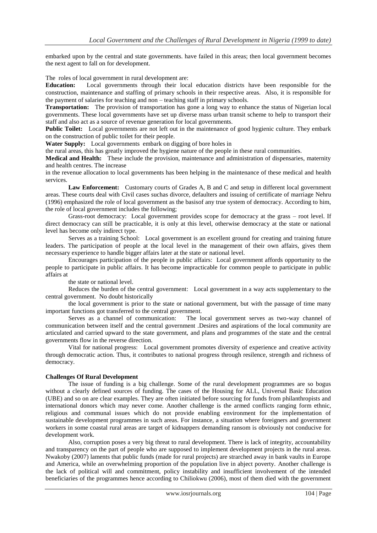embarked upon by the central and state governments. have failed in this areas; then local government becomes the next agent to fall on for development.

The roles of local government in rural development are:

**Education:** Local governments through their local education districts have been responsible for the construction, maintenance and staffing of primary schools in their respective areas. Also, it is responsible for the payment of salaries for teaching and non – teaching staff in primary schools.

**Transportation:** The provision of transportation has gone a long way to enhance the status of Nigerian local governments. These local governments have set up diverse mass urban transit scheme to help to transport their staff and also act as a source of revenue generation for local governments.

**Public Toilet:** Local governments are not left out in the maintenance of good hygienic culture. They embark on the construction of public toilet for their people.

**Water Supply:** Local governments embark on digging of bore holes in

the rural areas, this has greatly improved the hygiene nature of the people in these rural communities.

**Medical and Health:** These include the provision, maintenance and administration of dispensaries, maternity and health centres. The increase

in the revenue allocation to local governments has been helping in the maintenance of these medical and health services.

Law Enforcement: Customary courts of Grades A, B and C and setup in different local government areas. These courts deal with Civil cases suchas divorce, defaulters and issuing of certificate of marriage Nehru (1996) emphasized the role of local government as the basisof any true system of democracy. According to him, the role of local government includes the following;

Grass-root democracy: Local government provides scope for democracy at the grass – root level. If direct democracy can still be practicable, it is only at this level, otherwise democracy at the state or national level has become only indirect type.

Serves as a training School: Local government is an excellent ground for creating and training future leaders. The participation of people at the local level in the management of their own affairs, gives them necessary experience to handle bigger affairs later at the state or national level.

Encourages participation of the people in public affairs: Local government affords opportunity to the people to participate in public affairs. It has become impracticable for common people to participate in public affairs at

the state or national level.

Reduces the burden of the central government: Local government in a way acts supplementary to the central government. No doubt historically

the local government is prior to the state or national government, but with the passage of time many important functions got transferred to the central government.

Serves as a channel of communication: The local government serves as two-way channel of communication between itself and the central government .Desires and aspirations of the local community are articulated and carried upward to the state government, and plans and programmes of the state and the central governments flow in the reverse direction.

Vital for national progress: Local government promotes diversity of experience and creative activity through democratic action. Thus, it contributes to national progress through resilence, strength and richness of democracy.

#### **Challenges Of Rural Development**

The issue of funding is a big challenge. Some of the rural development programmes are so bogus without a clearly defined sources of funding. The cases of the Housing for ALL, Universal Basic Education (UBE) and so on are clear examples. They are often initiated before sourcing for funds from philanthropists and international donors which may never come. Another challenge is the armed conflicts ranging form ethnic, religious and communal issues which do not provide enabling environment for the implementation of sustainable development programmes in such areas. For instance, a situation where foreigners and government workers in some coastal rural areas are target of kidnappers demanding ransom is obviously not conducive for development work.

Also, corruption poses a very big threat to rural development. There is lack of integrity, accountability and transparency on the part of people who are supposed to implement development projects in the rural areas. Nwakoby (2007) laments that public funds (made for rural projects) are strarched away in bank vaults in Europe and America, while an overwhelming proportion of the population live in abject poverty. Another challenge is the lack of political will and commitment, policy instability and insufficient involvement of the intended beneficiaries of the programmes hence according to Chiliokwu (2006), most of them died with the government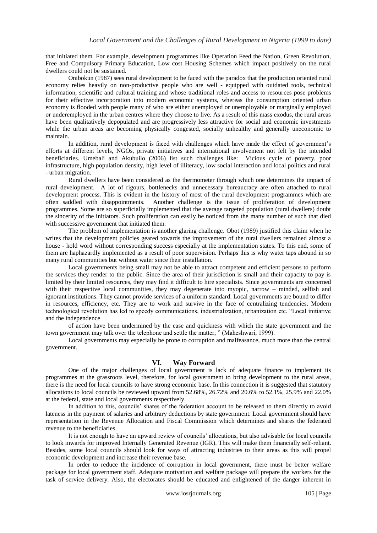that initiated them. For example, development programmes like Operation Feed the Nation, Green Revolution, Free and Compulsory Primary Education, Low cost Housing Schemes which impact positively on the rural dwellers could not be sustained.

Onibokun (1987) sees rural development to be faced with the paradox that the production oriented rural economy relies heavily on non-productive people who are well - equipped with outdated tools, technical information, scientific and cultural training and whose traditional roles and access to resources pose problems for their effective incorporation into modern economic systems, whereas the consumption oriented urban economy is flooded with people many of who are either unemployed or unemployable or marginally employed or underemployed in the urban centres where they choose to live. As a result of this mass exodus, the rural areas have been qualitatively depopulated and are progressively less attractive for social and economic investments while the urban areas are becoming physically congested, socially unhealthy and generally uneconomic to maintain.

In addition, rural development is faced with challenges which have made the effect of government"s efforts at different levels, NGOs, private initiatives and international involvement not felt by the intended beneficiaries. Umebali and Akubuilo (2006) list such challenges like: Vicious cycle of poverty, poor infrastructure, high population density, high level of illiteracy, low social interaction and local politics and rural - urban migration.

Rural dwellers have been considered as the thermometer through which one determines the impact of rural development. A lot of rigours, bottlenecks and unnecessary bureaucracy are often attached to rural development process. This is evident in the history of most of the rural development programmes which are often saddled with disappointments. Another challenge is the issue of proliferation of development programmes. Some are so superficially implemented that the average targeted population (rural dwellers) doubt the sincerity of the initiators. Such proliferation can easily be noticed from the many number of such that died with successive government that initiated them.

The problem of implementation is another glaring challenge. Obot (1989) justified this claim when he writes that the development policies geared towards the improvement of the rural dwellers remained almost a house - hold word without corresponding success especially at the implementation states. To this end, some of them are haphazardly implemented as a result of poor supervision. Perhaps this is why water taps abound in so many rural communities but without water since their installation.

Local governments being small may not be able to attract competent and efficient persons to perform the services they render to the public. Since the area of their jurisdiction is small and their capacity to pay is limited by their limited resources, they may find it difficult to hire specialists. Since governments are concerned with their respective local communities, they may degenerate into myopic, narrow – minded, selfish and ignorant institutions. They cannot provide services of a uniform standard. Local governments are bound to differ in resources, efficiency, etc. They are to work and survive in the face of centralizing tendencies. Modern technological revolution has led to speedy communications, industrialization, urbanization etc. "Local initiative and the independence

of action have been undermined by the ease and quickness with which the state government and the town government may talk over the telephone and settle the matter, " (Maheshwari, 1999).

Local governments may especially be prone to corruption and malfeasance, much more than the central government.

#### **VI. Way Forward**

One of the major challenges of local government is lack of adequate finance to implement its programmes at the grassroots level, therefore, for local government to bring development to the rural areas, there is the need for local councils to have strong economic base. In this connection it is suggested that statutory allocations to local councils be reviewed upward from 52.68%, 26.72% and 20.6% to 52.1%, 25.9% and 22.0% at the federal, state and local governments respectively.

In addition to this, councils" shares of the federation account to be released to them directly to avoid lateness in the payment of salaries and arbitrary deductions by state government. Local government should have representation in the Revenue Allocation and Fiscal Commission which determines and shares the federated revenue to the beneficiaries.

It is not enough to have an upward review of councils" allocations, but also advisable for local councils to look inwards for improved Internally Generated Revenue (IGR). This will make them financially self-reliant. Besides, some local councils should look for ways of attracting industries to their areas as this will propel economic development and increase their revenue base.

In order to reduce the incidence of corruption in local government, there must be better welfare package for local government staff. Adequate motivation and welfare package will prepare the workers for the task of service delivery. Also, the electorates should be educated and enlightened of the danger inherent in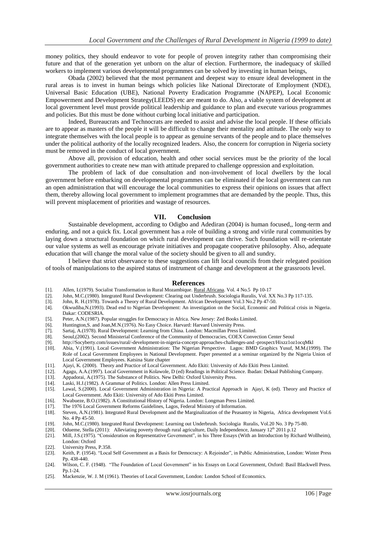money politics, they should endeavor to vote for people of proven integrity rather than compromising their future and that of the generation yet unborn on the altar of election. Furthermore, the inadequacy of skilled workers to implement various developmental programmes can be solved by investing in human beings,

Obada (2002) believed that the most permanent and deepest way to ensure ideal development in the rural areas is to invest in human beings which policies like National Directorate of Employment (NDE), Universal Basic Education (UBE), National Poverty Eradication Programme (NAPEP), Local Economic Empowerment and Development Strategy(LEEDS) etc are meant to do. Also, a viable system of development at local government level must provide political leadership and guidance to plan and execute various programmes and policies. But this must be done without curbing local initiative and participation.

Indeed, Bureaucrats and Technocrats are needed to assist and advise the local people. If these officials are to appear as masters of the people it will be difficult to change their mentality and attitude. The only way to integrate themselves with the local people is to appear as genuine servants of the people and to place themselves under the political authority of the locally recognized leaders. Also, the concern for corruption in Nigeria society must be removed in the conduct of local government.

Above all, provision of education, health and other social services must be the priority of the local government authorities to create new man with attitude prepared to challenge oppression and exploitation.

The problem of lack of due consultation and non-involvement of local dwellers by the local government before embarking on developmental programmes can be eliminated if the local government can run an open administration that will encourage the local communities to express their opinions on issues that affect them, thereby allowing local government to implement programmes that are demanded by the people. Thus, this will prevent misplacement of priorities and wastage of resources.

#### **VII. Conclusion**

Sustainable development, according to Odigbo and Adediran (2004) is human focused,, long-term and enduring, and not a quick fix. Local government has a role of building a strong and virile rural communities by laying down a structural foundation on which rural development can thrive. Such foundation will re-orientate our value systems as well as encourage private initiatives and propagate cooperative philosophy. Also, adequate education that will change the moral value of the society should be given to all and sundry.

I believe that strict observance to these suggestions can lift local councils from their relegated position of tools of manipulations to the aspired status of instrument of change and development at the grassroots level.

#### **References**

- [1]. Allen, I.(1979). Socialist Transformation in Rural Mozambique. Rural Africana. Vol. 4 No.5 Pp 10-17
- [2]. John, M.C.(1980). Integrated Rural Development: Clearing out Underbrush. Sociologia Ruralis, Vol. XX No.3 Pp 117-135. [3]. John, R. H.(1978). Towards a Theory of Rural Development. African Development Vol.3 No.2 Pp 47
- [3]. John, R. H.(1978). Towards a Theory of Rural Development. African Development Vol.3 No.2 Pp 47-50. [4]. Okwudiba, N.(1993). Dead end to Nigerian Development: An investigation on the Social, Economic and
- [4]. Okwudiba,N.(1993). Dead end to Nigerian Development: An investigation on the Social, Economic and Political crisis in Nigeria. Dakar: CODESRIA.
- [5]. Peter, A.N.(1987). Popular struggles for Democracy in Africa. New Jersey: Zed Books Limited.<br>[6]. Huntington, S. and Joan, M.N.(1976). No Easy Choice. Harvard: Harvard University Press.
- [6]. Huntington, S. and Joan, M.N. (1976). No Easy Choice. Harvard: Harvard University Press.<br>[7]. Sartaj, A. (1978). Rural Development: Learning from China. London: Macmillan Press Lin
- Sartaj, A.(1978). Rural Development: Learning from China. London: Macmillan Press Limited.
- [8]. Seoul,(2002). Second Ministerial Conference of the Community of Democracies, COEX Convection Center Seoul
- 
- [9]. http://Socyberty.com/issues/rural/-development-in-nigeria-concept-approaches-challenges-and -prospect/Hixzz1oz1ocqMkl [10]. Abia, V.(1991). Local Government Administration: The Nigerian Perspective. Lagos: BMD Graphics Yusuf, M.M.(1999). The Role of Local Government Employees in National Development. Paper presented at a seminar organized by the Nigeria Union of Local Government Employees. Katsina State chapter
- [11]. Ajayi, K. (2000). Theory and Practice of Local Government. Ado Ekiti: University of Ado Ekiti Press Limited.
- [12]. Agagu, A.A.(1997). Local Government in Kolawole, D (ed) Readings in Political Science. Ibadan: Dekaal Publishing Company.
- [13]. Appadorai, A.(1975). The Substance of Politics. New Delhi: Oxford University Press.
- [14]. Laski, H.J.(1982). A Grammar of Politics. London: Allen Press Limited.<br>[15]. Lawal, S.(2000). Local Government Administration in Nigeria: A Prac
- Lawal, S.(2000). Local Government Administration in Nigeria: A Practical Approach in Ajayi, K (ed). Theory and Practice of Local Government. Ado Ekiti: University of Ado Ekiti Press Limited.
- [16]. Nwabueze, B.O.(1982). A Constitutional History of Nigeria. London: Longman Press Limited.
- [17]. The 1976 Local Government Reforms Guidelines, Lagos, Federal Ministry of Information.<br>[18]. Steven, A.N.(1981). Integrated Rural Development and the Marginalization of the Peasant
- [18]. Steven, A.N.(1981). Integrated Rural Development and the Marginalization of the Peasantry in Nigeria, Africa development Vol.6 No. 4 Pp 45-50.
- [19]. John, M.C.(1980). Integrated Rural Development: Learning out Underbrush. Sociologia Ruralis, Vol.20 No. 3 Pp 75-80.
- [20]. Odueme, Stella (2011): Alleviating poverty through rural agriculture, Daily Independence, January  $12^{\text{th}}$  2011 p.12 [21]. Mill, J.S. (1975). "Consideration on Representative Government", in his Three Essays (With
- [21]. Mill, J.S.(1975). "Consideration on Representative Government", in his Three Essays (With an Introduction by Richard Wollheim), London: Oxford
- [22]. University Press, P.358.<br>[23]. Keith, P. (1954). "Local
- [23]. Keith, P. (1954). "Local Self Government as a Basis for Democracy: A Rejoinder", in Public Administration, London: Winter Press Pp. 438-440.
- [24]. Wilson, C. F. (1948). "The Foundation of Local Government" in his Essays on Local Government, Oxford: Basil Blackwell Press. Pp.1-24.
- [25]. Mackenzie, W. J. M (1961). Theories of Local Government, London: London School of Economics.